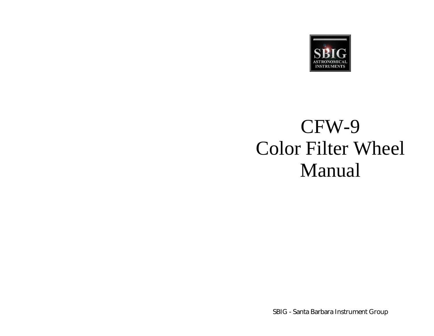

# CFW-9 Color Filter Wheel Manual

SBIG - Santa Barbara Instrument Group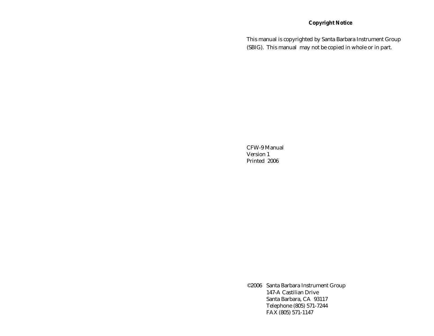#### **Copyright Notice**

This manual is copyrighted by Santa Barbara Instrument Group (SBIG). This manual may not be copied in whole or in part.

CFW-9 Manual Version 1 Printed 2006

©2006 Santa Barbara Instrument Group 147-A Castilian Drive Santa Barbara, CA 93117 Telephone (805) 571-7244 FAX (805) 571-1147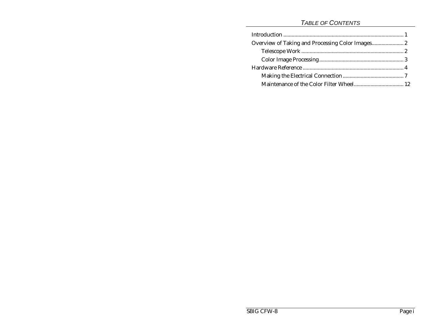#### *TABLE OF CONTENTS*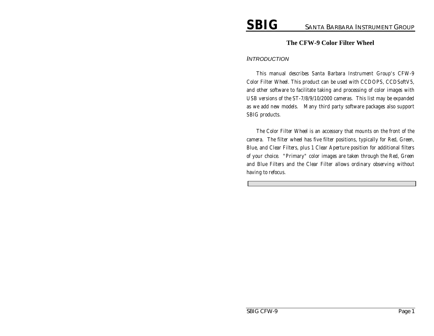#### **The CFW-9 Color Filter Wheel**

#### *INTRODUCTION*

*This manual describes Santa Barbara Instrument Group's CFW-9 Color Filter Wheel. This product can be used with CCDOPS, CCDSoftV5, and other software to facilitate taking and processing of color images with USB versions of the ST-7/8/9/10/2000 cameras. This list may be expanded as we add new models. Many third party software packages also support SBIG products.*

*The Color Filter Wheel is an accessory that mounts on the front of the camera. The filter wheel has five filter positions, typically for Red, Green, Blue, and Clear Filters, plus 1 Clear Aperture position for additional filters of your choice. "Primary" color images are taken through the Red, Green and Blue Filters and the Clear Filter allows ordinary observing without having to refocus.*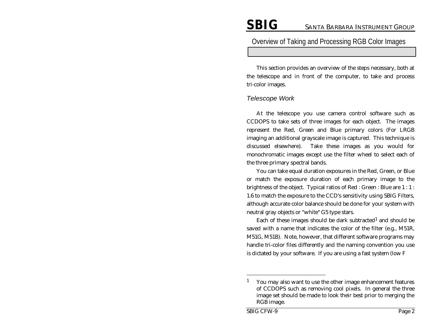#### Overview of Taking and Processing RGB Color Images

This section provides an overview of the steps necessary, both at the telescope and in front of the computer, to take and process tri-color images.

#### *Telescope Work*

At the telescope you use camera control software such as CCDOPS to take sets of three images for each object. The images represent the Red, Green and Blue primary colors (For LRGB imaging an additional grayscale image is captured. This technique is discussed elsewhere). Take these images as you would for monochromatic images except use the filter wheel to select each of the three primary spectral bands.

You can take equal duration exposures in the Red, Green, or Blue or match the exposure duration of each primary image to the brightness of the object. Typical ratios of Red : Green : Blue are 1 : 1 : 1.6 to match the exposure to the CCD's sensitivity using SBIG Filters, although accurate color balance should be done for your system with neutral gray objects or "white" G5 type stars.

Each of these images should be dark subtracted<sup>1</sup> and should be saved with a name that indicates the color of the filter (e.g., M51R, M51G, M51B). Note, however, that different software programs may handle tri-color files differently and the naming convention you use is dictated by your software. If you are using a fast system (low F

-

<sup>&</sup>lt;sup>1</sup> You may also want to use the other image enhancement features of CCDOPS such as removing cool pixels. In general the three image set should be made to look their best prior to merging the RGB image.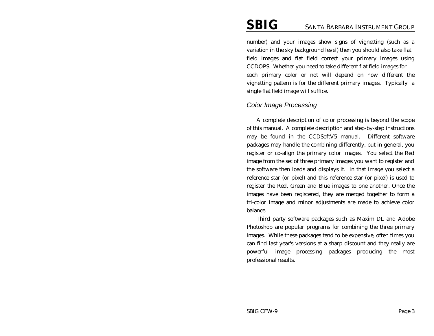number) and your images show signs of vignetting (such as a variation in the sky background level) then you should also take flat field images and flat field correct your primary images using CCDOPS. Whether you need to take different flat field images for each primary color or not will depend on how different the vignetting pattern is for the different primary images. Typically a single flat field image will suffice.

#### *Color Image Processing*

A complete description of color processing is beyond the scope of this manual. A complete description and step-by-step instructions may be found in the CCDSoftV5 manual. Different software packages may handle the combining differently, but in general, you register or co-align the primary color images. You select the Red image from the set of three primary images you want to register and the software then loads and displays it. In that image you select a reference star (or pixel) and this reference star (or pixel) is used to register the Red, Green and Blue images to one another. Once the images have been registered, they are merged together to form a tri-color image and minor adjustments are made to achieve color balance.

Third party software packages such as Maxim DL and Adobe Photoshop are popular programs for combining the three primary images. While these packages tend to be expensive, often times you can find last year's versions at a sharp discount and they really are powerful image processing packages producing the most professional results.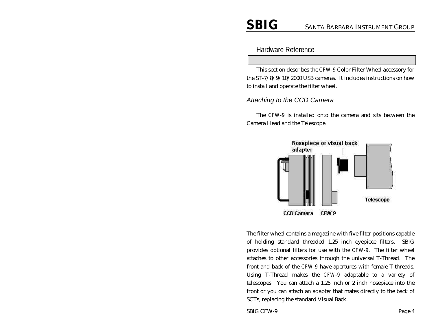Hardware Reference

This section describes the *CFW-9* Color Filter Wheel accessory for the ST-7/8/9/10/2000 USB cameras. It includes instructions on how to install and operate the filter wheel.

#### *Attaching to the CCD Camera*

The *CFW-9* is installed onto the camera and sits between the Camera Head and the Telescope.



The filter wheel contains a magazine with five filter positions capable of holding standard threaded 1.25 inch eyepiece filters. SBIG provides optional filters for use with the *CFW-9*. The filter wheel attaches to other accessories through the universal T-Thread. The front and back of the *CFW-9* have apertures with female T-threads. Using T-Thread makes the *CFW-9* adaptable to a variety of telescopes. You can attach a 1.25 inch or 2 inch nosepiece into the front or you can attach an adapter that mates directly to the back of SCTs, replacing the standard Visual Back.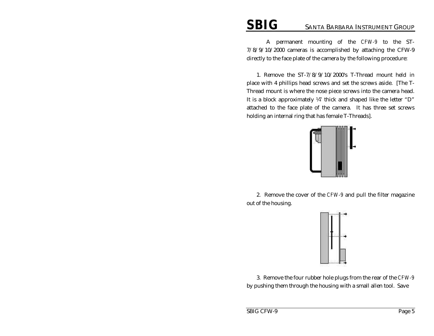A permanent mounting of the *CFW-9* to the ST-7/8/9/10/2000 cameras is accomplished by attaching the CFW-9 directly to the face plate of the camera by the following procedure:

1. Remove the ST-7/8/9/10/2000's T-Thread mount held in place with 4 phillips head screws and set the screws aside. [The T-Thread mount is where the nose piece screws into the camera head. It is a block approximately ¼" thick and shaped like the letter "D" attached to the face plate of the camera. It has three set screws holding an internal ring that has female T-Threads].



2. Remove the cover of the *CFW-9* and pull the filter magazine out of the housing.



3. Remove the four rubber hole plugs from the rear of the *CFW-9* by pushing them through the housing with a small allen tool. Save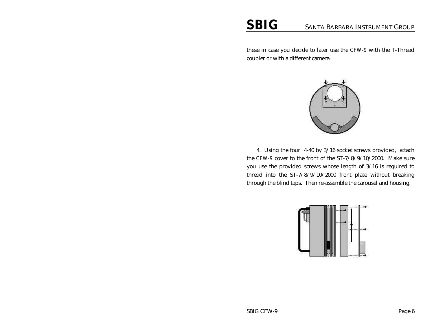these in case you decide to later use the *CFW-9* with the T-Thread coupler or with a different camera.



4. Using the four 4-40 by 3/16 socket screws provided, attach the *CFW-9* cover to the front of the ST-7/8/9/10/2000. Make sure you use the provided screws whose length of 3/16 is required to thread into the ST-7/8/9/10/2000 front plate without breaking through the blind taps. Then re-assemble the carousel and housing.

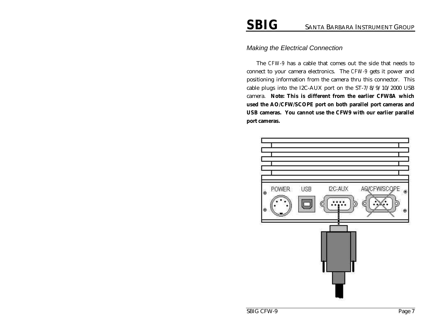#### *Making the Electrical Connection*

The *CFW-9* has a cable that comes out the side that needs to connect to your camera electronics. The *CFW-9* gets it power and positioning information from the camera thru this connector. This cable plugs into the I2C-AUX port on the ST-7/8/9/10/2000 USB camera. **Note: This is different from the earlier CFW8A which used the AO/CFW/SCOPE port on both parallel port cameras and USB cameras. You cannot use the CFW9 with our earlier parallel port cameras.** 

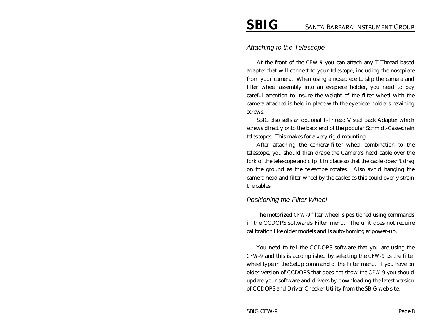#### *Attaching to the Telescope*

At the front of the *CFW-9* you can attach any T-Thread based adapter that will connect to your telescope, including the nosepiece from your camera. When using a nosepiece to slip the camera and filter wheel assembly into an eyepiece holder, you need to pay careful attention to insure the weight of the filter wheel with the camera attached is held in place with the eyepiece holder's retaining screws.

SBIG also sells an optional T-Thread Visual Back Adapter which screws directly onto the back end of the popular Schmidt-Cassegrain telescopes. This makes for a very rigid mounting.

After attaching the camera/filter wheel combination to the telescope, you should then drape the Camera's head cable over the fork of the telescope and clip it in place so that the cable doesn't drag on the ground as the telescope rotates. Also avoid hanging the camera head and filter wheel by the cables as this could overly strain the cables.

#### *Positioning the Filter Wheel*

The motorized *CFW-9* filter wheel is positioned using commands in the CCDOPS software's Filter menu. The unit does not require calibration like older models and is auto-homing at power-up.

You need to tell the CCDOPS software that you are using the *CFW-9* and this is accomplished by selecting the *CFW-9* as the filter wheel type in the Setup command of the Filter menu. If you have an older version of CCDOPS that does not show the *CFW-9* you should update your software and drivers by downloading the latest version of CCDOPS and Driver Checker Utility from the SBIG web site.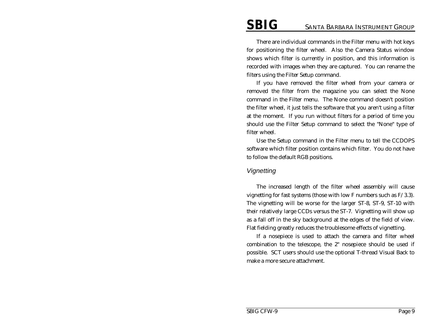There are individual commands in the Filter menu with hot keys for positioning the filter wheel. Also the Camera Status window shows which filter is currently in position, and this information is recorded with images when they are captured. You can rename the filters using the Filter Setup command.

If you have removed the filter wheel from your camera or removed the filter from the magazine you can select the None command in the Filter menu. The None command doesn't position the filter wheel, it just tells the software that you aren't using a filter at the moment. If you run without filters for a period of time you should use the Filter Setup command to select the "None" type of filter wheel.

Use the Setup command in the Filter menu to tell the CCDOPS software which filter position contains which filter. You do not have to follow the default RGB positions.

#### *Vignetting*

The increased length of the filter wheel assembly will cause vignetting for fast systems (those with low F numbers such as F/3.3). The vignetting will be worse for the larger ST-8, ST-9, ST-10 with their relatively large CCDs versus the ST-7. Vignetting will show up as a fall off in the sky background at the edges of the field of view. Flat fielding greatly reduces the troublesome effects of vignetting.

If a nosepiece is used to attach the camera and filter wheel combination to the telescope, the 2" nosepiece should be used if possible. SCT users should use the optional T-thread Visual Back to make a more secure attachment.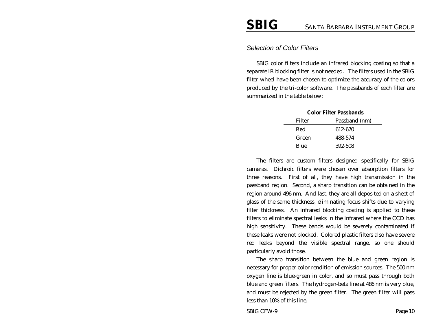#### *Selection of Color Filters*

SBIG color filters include an infrared blocking coating so that a separate IR blocking filter is not needed. The filters used in the SBIG filter wheel have been chosen to optimize the accuracy of the colors produced by the tri-color software. The passbands of each filter are summarized in the table below:

| <b>Color Filter Passbands</b> |               |  |
|-------------------------------|---------------|--|
| Filter                        | Passband (nm) |  |
| Red                           | 612-670       |  |
| Green                         | 488-574       |  |
| Blue                          | 392-508       |  |

The filters are custom filters designed specifically for SBIG cameras. Dichroic filters were chosen over absorption filters for three reasons. First of all, they have high transmission in the passband region. Second, a sharp transition can be obtained in the region around 496 nm. And last, they are all deposited on a sheet of glass of the same thickness, eliminating focus shifts due to varying filter thickness. An infrared blocking coating is applied to these filters to eliminate spectral leaks in the infrared where the CCD has high sensitivity. These bands would be severely contaminated if these leaks were not blocked. Colored plastic filters also have severe red leaks beyond the visible spectral range, so one should particularly avoid those.

The sharp transition between the blue and green region is necessary for proper color rendition of emission sources. The 500 nm oxygen line is blue-green in color, and so must pass through both blue and green filters. The hydrogen-beta line at 486 nm is very blue, and must be rejected by the green filter. The green filter will pass less than 10% of this line.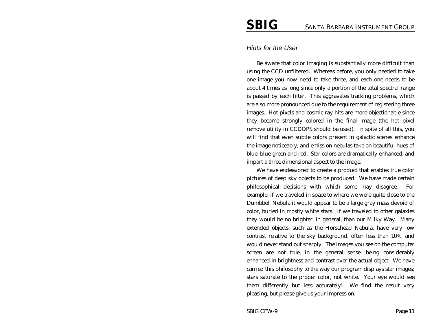#### *Hints for the User*

Be aware that color imaging is substantially more difficult than using the CCD unfiltered. Whereas before, you only needed to take one image you now need to take three, and each one needs to be about 4 times as long since only a portion of the total spectral range is passed by each filter. This aggravates tracking problems, which are also more pronounced due to the requirement of registering three images. Hot pixels and cosmic ray hits are more objectionable since they become strongly colored in the final image (the hot pixel remove utility in CCDOPS should be used). In spite of all this, you will find that even subtle colors present in galactic scenes enhance the image noticeably, and emission nebulas take on beautiful hues of blue, blue-green and red. Star colors are dramatically enhanced, and impart a three dimensional aspect to the image.

We have endeavored to create a product that enables true color pictures of deep sky objects to be produced. We have made certain philosophical decisions with which some may disagree. For example, if we traveled in space to where we were quite close to the Dumbbell Nebula it would appear to be a large gray mass devoid of color, buried in mostly white stars. If we traveled to other galaxies they would be no brighter, in general, than our Milky Way. Many extended objects, such as the Horsehead Nebula, have very low contrast relative to the sky background, often less than 10%, and would never stand out sharply. The images you see on the computer screen are not true, in the general sense, being considerably enhanced in brightness and contrast over the actual object. We have carried this philosophy to the way our program displays star images; stars saturate to the proper color, not white. Your eye would see them differently but less accurately! We find the result very pleasing, but please give us your impression.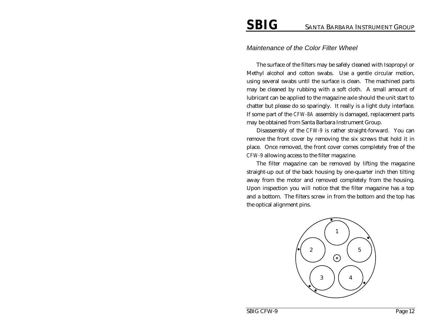#### *Maintenance of the Color Filter Wheel*

The surface of the filters may be safely cleaned with Isopropyl or Methyl alcohol and cotton swabs. Use a gentle circular motion, using several swabs until the surface is clean. The machined parts may be cleaned by rubbing with a soft cloth. A small amount of lubricant can be applied to the magazine axle should the unit start to chatter but please do so sparingly. It really is a light duty interface. If some part of the *CFW-8A* assembly is damaged, replacement parts may be obtained from Santa Barbara Instrument Group.

Disassembly of the *CFW-9* is rather straight-forward. You can remove the front cover by removing the six screws that hold it in place. Once removed, the front cover comes completely free of the *CFW-9* allowing access to the filter magazine.

The filter magazine can be removed by lifting the magazine straight-up out of the back housing by one-quarter inch then tilting away from the motor and removed completely from the housing. Upon inspection you will notice that the filter magazine has a top and a bottom. The filters screw in from the bottom and the top has the optical alignment pins.